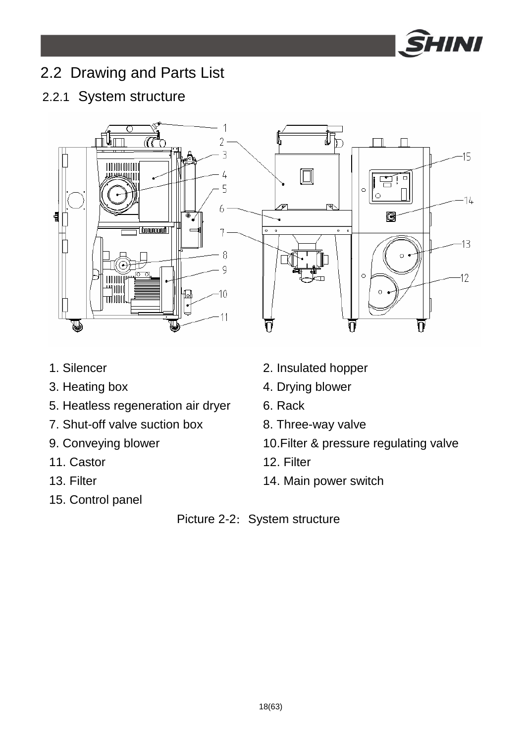

# 2.2 Drawing and Parts List

## 2.2.1 System structure



- 
- 
- 5. Heatless regeneration air dryer 6. Rack
- 7. Shut-off valve suction box 8. Three-way valve
- 
- 11. Castor 12. Filter
- 
- 15. Control panel
- 1. Silencer 2. Insulated hopper
- 3. Heating box 4. Drying blower
	-
	-
- 9. Conveying blower 10.Filter & pressure regulating valve
	-
- 13. Filter 14. Main power switch

#### Picture 2-2: System structure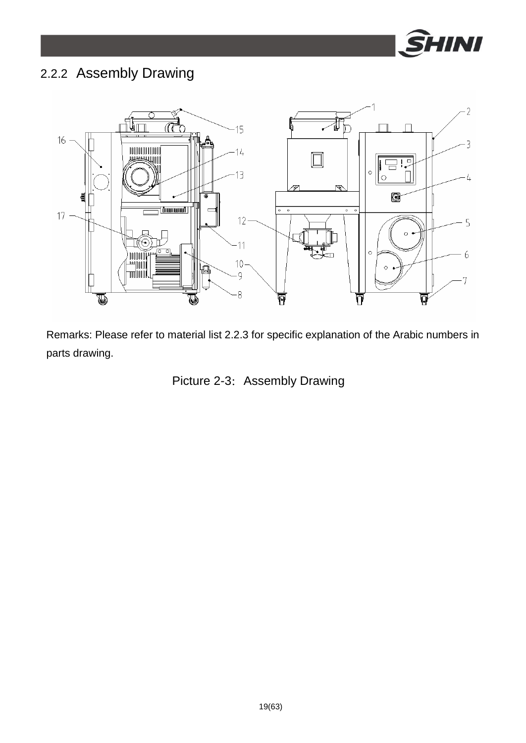

# 2.2.2 Assembly Drawing



Remarks: Please refer to material list 2.2.3 for specific explanation of the Arabic numbers in parts drawing.

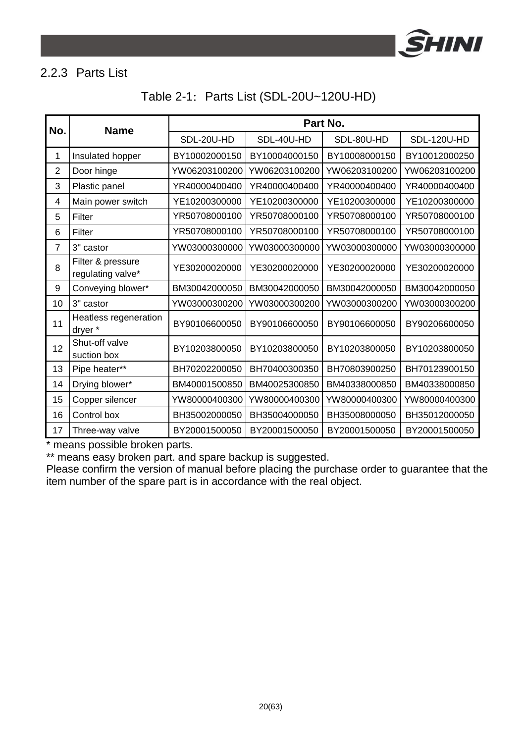

#### 2.2.3 Parts List

| Table 2-1: Parts List (SDL-20U~120U-HD) |  |  |  |
|-----------------------------------------|--|--|--|
|-----------------------------------------|--|--|--|

| No.            | <b>Name</b>                            | Part No.      |               |               |               |
|----------------|----------------------------------------|---------------|---------------|---------------|---------------|
|                |                                        | SDL-20U-HD    | SDL-40U-HD    | SDL-80U-HD    | SDL-120U-HD   |
| 1              | Insulated hopper                       | BY10002000150 | BY10004000150 | BY10008000150 | BY10012000250 |
| $\overline{2}$ | Door hinge                             | YW06203100200 | YW06203100200 | YW06203100200 | YW06203100200 |
| 3              | Plastic panel                          | YR40000400400 | YR40000400400 | YR40000400400 | YR40000400400 |
| 4              | Main power switch                      | YE10200300000 | YE10200300000 | YE10200300000 | YE10200300000 |
| 5              | Filter                                 | YR50708000100 | YR50708000100 | YR50708000100 | YR50708000100 |
| 6              | Filter                                 | YR50708000100 | YR50708000100 | YR50708000100 | YR50708000100 |
| 7              | 3" castor                              | YW03000300000 | YW03000300000 | YW03000300000 | YW03000300000 |
| 8              | Filter & pressure<br>regulating valve* | YE30200020000 | YE30200020000 | YE30200020000 | YE30200020000 |
| 9              | Conveying blower*                      | BM30042000050 | BM30042000050 | BM30042000050 | BM30042000050 |
| 10             | 3" castor                              | YW03000300200 | YW03000300200 | YW03000300200 | YW03000300200 |
| 11             | Heatless regeneration<br>dryer *       | BY90106600050 | BY90106600050 | BY90106600050 | BY90206600050 |
| 12             | Shut-off valve<br>suction box          | BY10203800050 | BY10203800050 | BY10203800050 | BY10203800050 |
| 13             | Pipe heater**                          | BH70202200050 | BH70400300350 | BH70803900250 | BH70123900150 |
| 14             | Drying blower*                         | BM40001500850 | BM40025300850 | BM40338000850 | BM40338000850 |
| 15             | Copper silencer                        | YW80000400300 | YW80000400300 | YW80000400300 | YW80000400300 |
| 16             | Control box                            | BH35002000050 | BH35004000050 | BH35008000050 | BH35012000050 |
| 17             | Three-way valve                        | BY20001500050 | BY20001500050 | BY20001500050 | BY20001500050 |

\* means possible broken parts.

\*\* means easy broken part. and spare backup is suggested.

Please confirm the version of manual before placing the purchase order to guarantee that the item number of the spare part is in accordance with the real object.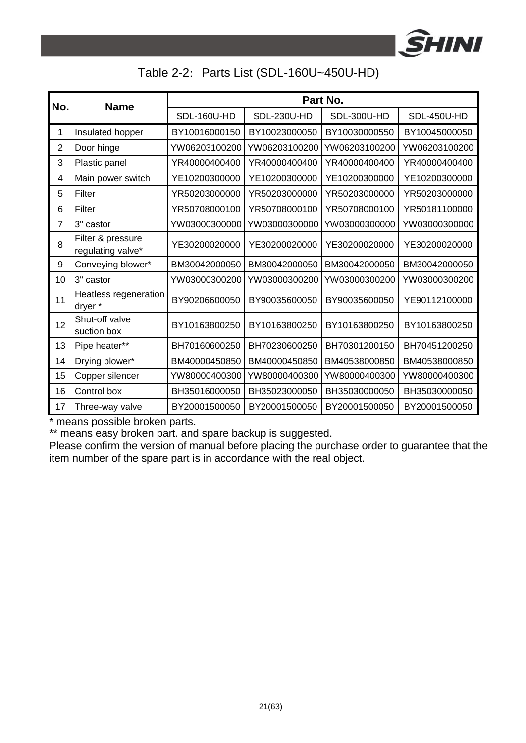

### Table 2-2: Parts List (SDL-160U~450U-HD)

| No.            | <b>Name</b>                            | Part No.      |               |               |               |
|----------------|----------------------------------------|---------------|---------------|---------------|---------------|
|                |                                        | SDL-160U-HD   | SDL-230U-HD   | SDL-300U-HD   | SDL-450U-HD   |
| 1              | Insulated hopper                       | BY10016000150 | BY10023000050 | BY10030000550 | BY10045000050 |
| $\overline{2}$ | Door hinge                             | YW06203100200 | YW06203100200 | YW06203100200 | YW06203100200 |
| 3              | Plastic panel                          | YR40000400400 | YR40000400400 | YR40000400400 | YR40000400400 |
| 4              | Main power switch                      | YE10200300000 | YE10200300000 | YE10200300000 | YE10200300000 |
| 5              | Filter                                 | YR50203000000 | YR50203000000 | YR50203000000 | YR50203000000 |
| 6              | Filter                                 | YR50708000100 | YR50708000100 | YR50708000100 | YR50181100000 |
| 7              | 3" castor                              | YW03000300000 | YW03000300000 | YW03000300000 | YW03000300000 |
| 8              | Filter & pressure<br>regulating valve* | YE30200020000 | YE30200020000 | YE30200020000 | YE30200020000 |
| 9              | Conveying blower*                      | BM30042000050 | BM30042000050 | BM30042000050 | BM30042000050 |
| 10             | 3" castor                              | YW03000300200 | YW03000300200 | YW03000300200 | YW03000300200 |
| 11             | Heatless regeneration<br>dryer *       | BY90206600050 | BY90035600050 | BY90035600050 | YE90112100000 |
| 12             | Shut-off valve<br>suction box          | BY10163800250 | BY10163800250 | BY10163800250 | BY10163800250 |
| 13             | Pipe heater**                          | BH70160600250 | BH70230600250 | BH70301200150 | BH70451200250 |
| 14             | Drying blower*                         | BM40000450850 | BM40000450850 | BM40538000850 | BM40538000850 |
| 15             | Copper silencer                        | YW80000400300 | YW80000400300 | YW80000400300 | YW80000400300 |
| 16             | Control box                            | BH35016000050 | BH35023000050 | BH35030000050 | BH35030000050 |
| 17             | Three-way valve                        | BY20001500050 | BY20001500050 | BY20001500050 | BY20001500050 |

\* means possible broken parts.

\*\* means easy broken part. and spare backup is suggested.

Please confirm the version of manual before placing the purchase order to guarantee that the item number of the spare part is in accordance with the real object.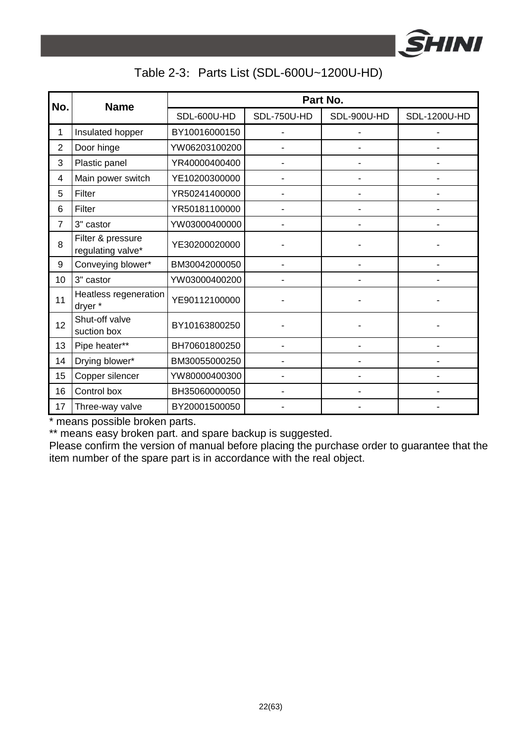

### Table 2-3: Parts List (SDL-600U~1200U-HD)

| No.            | <b>Name</b>                            | Part No.      |             |             |              |
|----------------|----------------------------------------|---------------|-------------|-------------|--------------|
|                |                                        | SDL-600U-HD   | SDL-750U-HD | SDL-900U-HD | SDL-1200U-HD |
| 1              | Insulated hopper                       | BY10016000150 |             |             |              |
| $\overline{c}$ | Door hinge                             | YW06203100200 |             |             |              |
| 3              | Plastic panel                          | YR40000400400 |             |             |              |
| 4              | Main power switch                      | YE10200300000 |             |             |              |
| 5              | Filter                                 | YR50241400000 |             |             |              |
| 6              | Filter                                 | YR50181100000 |             |             |              |
| $\overline{7}$ | 3" castor                              | YW03000400000 |             |             |              |
| 8              | Filter & pressure<br>regulating valve* | YE30200020000 |             |             |              |
| 9              | Conveying blower*                      | BM30042000050 |             |             |              |
| 10             | 3" castor                              | YW03000400200 |             |             |              |
| 11             | Heatless regeneration<br>dryer *       | YE90112100000 |             |             |              |
| 12             | Shut-off valve<br>suction box          | BY10163800250 |             |             |              |
| 13             | Pipe heater**                          | BH70601800250 |             |             |              |
| 14             | Drying blower*                         | BM30055000250 |             |             |              |
| 15             | Copper silencer                        | YW80000400300 |             |             |              |
| 16             | Control box                            | BH35060000050 |             |             |              |
| 17             | Three-way valve                        | BY20001500050 |             |             |              |

\* means possible broken parts.

\*\* means easy broken part. and spare backup is suggested.

Please confirm the version of manual before placing the purchase order to guarantee that the item number of the spare part is in accordance with the real object.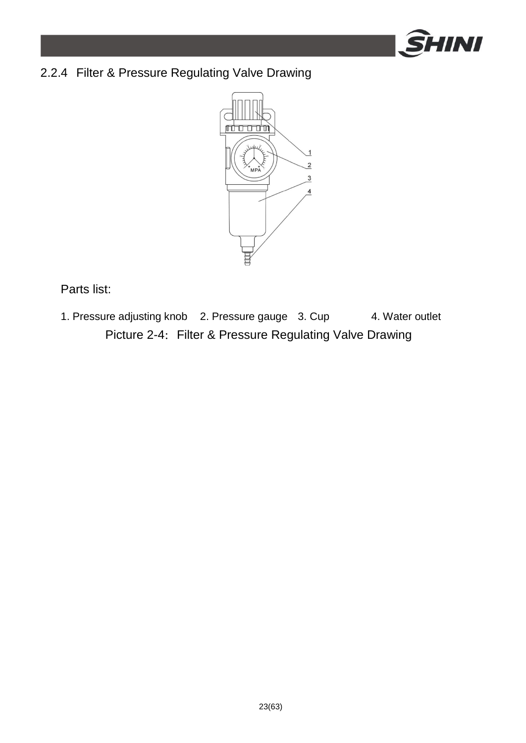

## 2.2.4 Filter & Pressure Regulating Valve Drawing



Parts list:

1. Pressure adjusting knob 2. Pressure gauge 3. Cup 4. Water outlet Picture 2-4: Filter & Pressure Regulating Valve Drawing